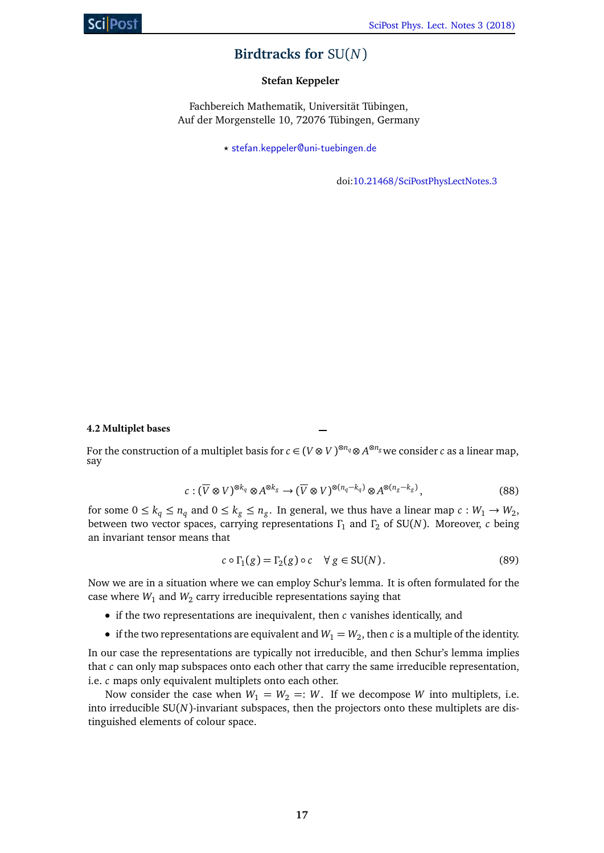# **Birdtracks for** SU(*N*)

## **Stefan Keppeler**

Fachbereich Mathematik, Universität Tübingen, Auf der Morgenstelle 10, 72076 Tübingen, Germany

*?* stefan.keppeler@uni-tuebingen.de

doi:10.21468/SciPostPhysLectNotes.3

### **4.2 Multiplet bases**

For the construction of a multiplet basis for  $c \in (V \otimes V)^{\otimes n_q} \otimes A^{\otimes n_g}$ we consider  $c$  as a linear map, say

$$
c: (\overline{V} \otimes V)^{\otimes k_q} \otimes A^{\otimes k_g} \to (\overline{V} \otimes V)^{\otimes (n_q - k_q)} \otimes A^{\otimes (n_g - k_g)}, \tag{88}
$$

for some  $0 \le k_q \le n_q$  and  $0 \le k_g \le n_g$ . In general, we thus have a linear map  $c: W_1 \to W_2$ , between two vector spaces, carrying representations *Γ*<sup>1</sup> and *Γ*<sup>2</sup> of SU(*N*). Moreover, *c* being an invariant tensor means that

$$
c \circ \Gamma_1(g) = \Gamma_2(g) \circ c \quad \forall \ g \in SU(N). \tag{89}
$$

Now we are in a situation where we can employ Schur's lemma. It is often formulated for the case where  $W_1$  and  $W_2$  carry irreducible representations saying that

- if the two representations are inequivalent, then *c* vanishes identically, and
- if the two representations are equivalent and  $W_1 = W_2$ , then *c* is a multiple of the identity.

In our case the representations are typically not irreducible, and then Schur's lemma implies that *c* can only map subspaces onto each other that carry the same irreducible representation, i.e. *c* maps only equivalent multiplets onto each other.

<span id="page-0-0"></span>Now consider the case when  $W_1 = W_2 =: W$ . If we decompose *W* into multiplets, i.e. into irreducible SU(*N*)-invariant subspaces, then the projectors onto these multiplets are distinguished elements of colour space.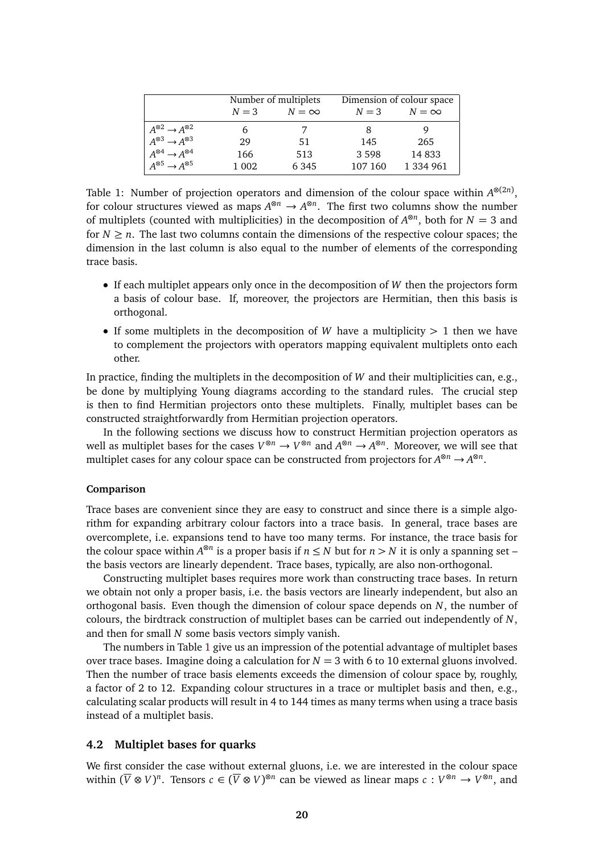|                                           | Number of multiplets |              | Dimension of colour space |              |
|-------------------------------------------|----------------------|--------------|---------------------------|--------------|
|                                           | $N=3$                | $N = \infty$ | $N=3$                     | $N = \infty$ |
| $A^{\otimes 2} \rightarrow A^{\otimes 2}$ | 6                    |              | 8                         |              |
| $A^{\otimes 3} \rightarrow A^{\otimes 3}$ | 29                   | .51          | 145                       | 265          |
| $A^{\otimes 4} \rightarrow A^{\otimes 4}$ | 166                  | 513          | 3 5 9 8                   | 14833        |
| $A^{\otimes 5} \rightarrow A^{\otimes 5}$ | 1 0 0 2              | 6 3 4 5      | 107 160                   | 1 334 961    |

<span id="page-1-0"></span>Table 1: Number of projection operators and dimension of the colour space within  $A^{\otimes (2n)}$ , for colour structures viewed as maps  $A^{\otimes n} \to A^{\otimes n}$ . The first two columns show the number of multiplets (counted with multiplicities) in the decomposition of  $A^{\otimes n}$ , both for  $N = 3$  and for  $N \geq n$ . The last two columns contain the dimensions of the respective colour spaces; the dimension in the last column is also equal to the number of elements of the corresponding trace basis.

- If each multiplet appears only once in the decomposition of *W* then the projectors form a basis of colour base. If, moreover, the projectors are Hermitian, then this basis is orthogonal.
- If some multiplets in the decomposition of *W* have a multiplicity *>* 1 then we have to complement the projectors with operators mapping equivalent multiplets onto each other.

In practice, finding the multiplets in the decomposition of *W* and their multiplicities can, e.g., be done by multiplying Young diagrams according to the standard rules. The crucial step is then to find Hermitian projectors onto these multiplets. Finally, multiplet bases can be constructed straightforwardly from Hermitian projection operators.

In the following sections we discuss how to construct Hermitian projection operators as well as multiplet bases for the cases  $V^{\otimes n} \to V^{\otimes n}$  and  $A^{\otimes n} \to A^{\otimes n}$ . Moreover, we will see that multiplet cases for any colour space can be constructed from projectors for  $A^{\otimes n} \to A^{\otimes n}$ .

#### **Comparison**

Trace bases are convenient since they are easy to construct and since there is a simple algorithm for expanding arbitrary colour factors into a trace basis. In general, trace bases are overcomplete, i.e. expansions tend to have too many terms. For instance, the trace basis for the colour space within  $A^{\otimes n}$  is a proper basis if  $n \leq N$  but for  $n > N$  it is only a spanning set – the basis vectors are linearly dependent. Trace bases, typically, are also non-orthogonal.

Constructing multiplet bases requires more work than constructing trace bases. In return we obtain not only a proper basis, i.e. the basis vectors are linearly independent, but also an orthogonal basis. Even though the dimension of colour space depends on *N*, the number of colours, the birdtrack construction of multiplet bases can be carried out independently of *N*, and then for small *N* some basis vectors simply vanish.

The numbers in Table [1](#page-1-0) give us an impression of the potential advantage of multiplet bases over trace bases. Imagine doing a calculation for  $N = 3$  with 6 to 10 external gluons involved. Then the number of trace basis elements exceeds the dimension of colour space by, roughly, a factor of 2 to 12. Expanding colour structures in a trace or multiplet basis and then, e.g., calculating scalar products will result in 4 to 144 times as many terms when using a trace basis instead of a multiplet basis.

#### **4.2 Multiplet bases for quarks**

We first consider the case without external gluons, i.e. we are interested in the colour space within  $(\overline{V} \otimes V)^n$ . Tensors  $c \in (\overline{V} \otimes V)^{\otimes n}$  can be viewed as linear maps  $c: V^{\otimes n} \to V^{\otimes n}$ , and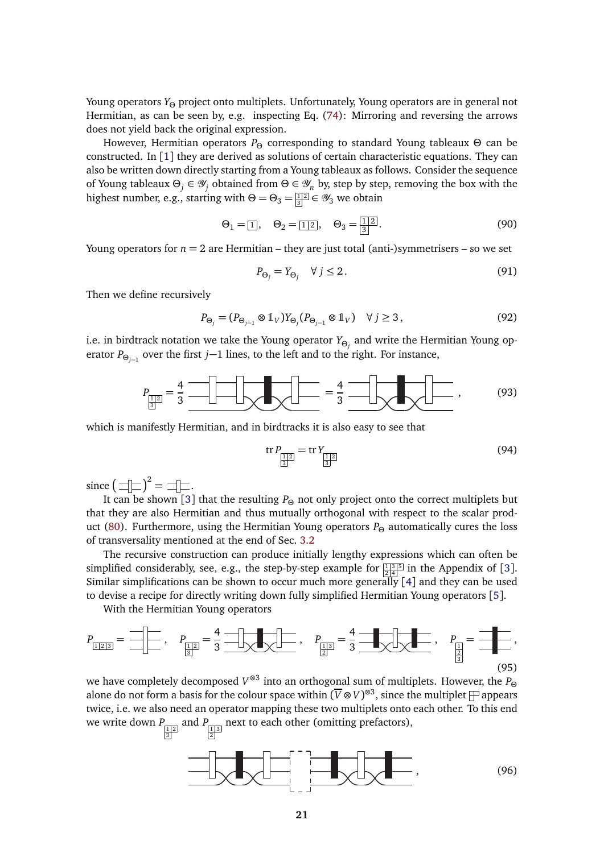Young operators *Y<sup>Θ</sup>* project onto multiplets. Unfortunately, Young operators are in general not Hermitian, as can be seen by, e.g. inspecting Eq. (74): Mirroring and reversing the arrows does not yield back the original expression.

However, Hermitian operators *P<sup>Θ</sup>* corresponding to standard Young tableaux *Θ* can be constructed. In [1] they are derived as solutions of certain characteristic equations. They can also be written down directly starting from a Young tableaux as follows. Consider the sequence of Young tableaux *Θ<sup>j</sup>* ∈ Y*<sup>j</sup>* obtained from *Θ* ∈ Y*<sup>n</sup>* by, step by step, removing the box with the highest number, e.g., starting with  $\Theta = \Theta_3 = \frac{\Pi 2}{\left|3\right|} \in \mathcal{Y}_3$  we obtain

$$
\Theta_1 = \boxed{1}, \quad \Theta_2 = \boxed{1 \, 2}, \quad \Theta_3 = \boxed{1 \, 2}.
$$
\n(90)

Young operators for  $n = 2$  are Hermitian – they are just total (anti-)symmetrisers – so we set

$$
P_{\Theta_j} = Y_{\Theta_j} \quad \forall j \le 2. \tag{91}
$$

Then we define recursively

$$
P_{\Theta_j} = (P_{\Theta_{j-1}} \otimes 1_V) Y_{\Theta_j} (P_{\Theta_{j-1}} \otimes 1_V) \quad \forall j \ge 3, \tag{92}
$$

i.e. in birdtrack notation we take the Young operator *YΘ<sup>j</sup>* and write the Hermitian Young operator *P*<sub>*⊖*<sub>*j*−1</sub> over the first *j*−1 lines, to the left and to the right. For instance,</sub>

$$
P_{\underline{\overline{[1]}}\underline{[2]}} = \frac{4}{3} \frac{\text{max of the image}}{\text{max of the image}} = \frac{4}{3} \frac{\text{max of the image}}{\text{max of the image}} \tag{93}
$$

which is manifestly Hermitian, and in birdtracks it is also easy to see that

$$
\text{tr}\, P_{\frac{1}{3}} = \text{tr}\, Y_{\frac{1}{3}} \tag{94}
$$

since  $\left(\Box\Box\Box\right)^2 = \Box\Box\Box.$ 

It can be shown [3] that the resulting *P<sup>Θ</sup>* not only project onto the correct multiplets but that they are also Hermitian and thus mutually orthogonal with respect to the scalar prod-uct [\(80\)](#page-0-0). Furthermore, using the Hermitian Young operators  $P_{\Theta}$  automatically cures the loss of transversality mentioned at the end of Sec. 3.2

The recursive construction can produce initially lengthy expressions which can often be simplified considerably, see, e.g., the step-by-step example for  $\frac{\overline{13|5|}}{2|4|}$  in the Appendix of [3]. Similar simplifications can be shown to occur much more generally  $[4]$  and they can be used to devise a recipe for directly writing down fully simplified Hermitian Young operators [5].

With the Hermitian Young operators

$$
P_{\frac{1}{2}} = \frac{1}{2} \left[ \frac{1}{2}, \quad P_{\frac{1}{2}} = \frac{4}{3} \frac{1}{2} \left[ \frac{1}{2} \right] \left[ \frac{1}{2} \right], \quad P_{\frac{1}{2}} = \frac{4}{3} \frac{1}{2} \left[ \frac{1}{2} \right], \quad P_{\frac{1}{2}} = \frac{1}{2} \left[ \frac{1}{2} \right], \tag{95}
$$

we have completely decomposed *V* ⊗3 into an orthogonal sum of multiplets. However, the *P<sup>Θ</sup>* alone do not form a basis for the colour space within  $(\overline{V} \otimes V)^{\otimes 3}$ , since the multiplet  $\Box$  appears twice, i.e. we also need an operator mapping these two multiplets onto each other. To this end we write down  $P_{\frac{\boxed{1}}{3}}$ and  $P_{\frac{1}{2}^{\frac{1}{3}}}$ next to each other (omitting prefactors),

$$
\frac{\frac{1}{\sqrt{1-\frac{1}{\sqrt{1-\frac{1}{\sqrt{1-\frac{1}{\sqrt{1-\frac{1}{\sqrt{1-\frac{1}{\sqrt{1-\frac{1}{\sqrt{1-\frac{1}{\sqrt{1-\frac{1}{\sqrt{1-\frac{1}{\sqrt{1-\frac{1}{\sqrt{1-\frac{1}{\sqrt{1-\frac{1}{\sqrt{1-\frac{1}{\sqrt{1-\frac{1}{\sqrt{1-\frac{1}{\sqrt{1-\frac{1}{\sqrt{1-\frac{1}{\sqrt{1-\frac{1}{\sqrt{1-\frac{1}{\sqrt{1-\frac{1}{\sqrt{1-\frac{1}{\sqrt{1-\frac{1}{\sqrt{1-\frac{1}{\sqrt{1-\frac{1}{\sqrt{1-\frac{1}{\sqrt{1-\frac{1}{\sqrt{1-\frac{1}{\sqrt{1-\frac{1}{\sqrt{1-\frac{1}{\sqrt{1-\frac{1}{\sqrt{1-\frac{1}{\sqrt{1-\frac{1}{\sqrt{1-\frac{1}{\sqrt{1-\frac{1}{\sqrt{1-\frac{1}{\sqrt{1+\frac{1}{\sqrt{1+\frac{1}{1+\frac{1}{\sqrt{1+\frac{1}{1+\frac{1}{\sqrt{1+\frac{1}{1+\frac{1}{\sqrt{1+\frac{1}{1+\frac{1}{\sqrt{1+\frac{1}{1+\frac{1}{\sqrt{1+\frac{1}{1+\frac{1}{\sqrt{1+\frac{1}{1+\frac{1}{\sqrt{1+\frac{1}{1+\frac{1}{\sqrt{1+\frac{1}{1+\frac{1}{\sqrt{1+\frac{1}{1+\frac{1}{\sqrt{1+\frac{1}{1+\frac{1}{1+\frac{1}{1+\frac{1}{\sqrt{1+\frac{1}{1+\frac{1}{1+\frac{1}{1+\frac{1}{1+\frac{1}{1+\frac{1}{1+\frac{1}{1+\frac{1}{1+\frac{1}{1+\frac{1}{1+\frac{1}{1+\frac{1}{1+\frac{1}{1+\frac{1}{1+\frac{1}{1+\frac{1}{1+\frac{1}{1+\frac{1}{1+\frac{1}{1+\frac{1}{1+\frac{1}{1+\frac{1}{1+\frac{1}{1+\frac{1}{1+\frac{1}{1+\frac{1}{1+\frac{1}{1+\frac{1}{1+\frac{1}{1+\frac{1}{1+\frac{1}{1+\frac{1}{1+\frac{1}{1+\frac{1}{1+\frac{1}{1+\frac{1}{1+\frac{1}{1+\frac{1}{1+\frac{1}{1+\frac{1}{1+\frac{1}{1+\frac
$$